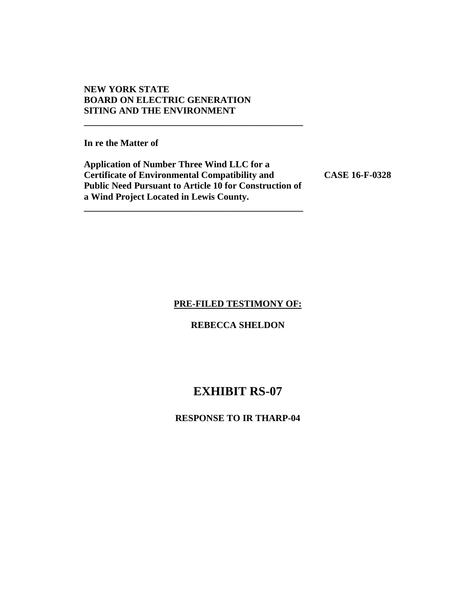# **NEW YORK STATE BOARD ON ELECTRIC GENERATION SITING AND THE ENVIRONMENT**

**In re the Matter of** 

**Application of Number Three Wind LLC for a Certificate of Environmental Compatibility and CASE 16-F-0328 Public Need Pursuant to Article 10 for Construction of a Wind Project Located in Lewis County.** 

**\_\_\_\_\_\_\_\_\_\_\_\_\_\_\_\_\_\_\_\_\_\_\_\_\_\_\_\_\_\_\_\_\_\_\_\_\_\_\_\_\_\_\_\_\_\_\_** 

**\_\_\_\_\_\_\_\_\_\_\_\_\_\_\_\_\_\_\_\_\_\_\_\_\_\_\_\_\_\_\_\_\_\_\_\_\_\_\_\_\_\_\_\_\_\_\_** 

#### **PRE-FILED TESTIMONY OF:**

# **REBECCA SHELDON**

# **EXHIBIT RS-07**

# **RESPONSE TO IR THARP-04**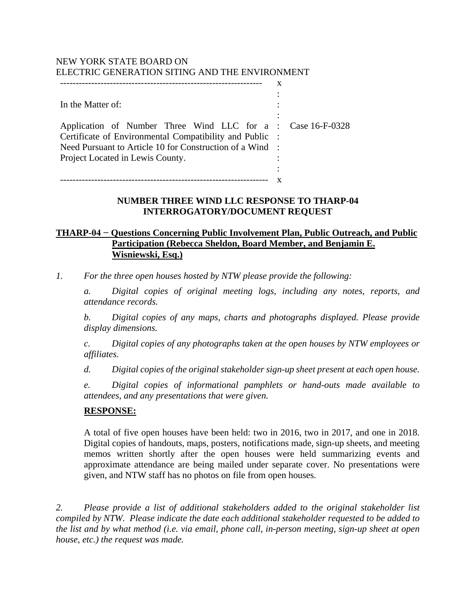# NEW YORK STATE BOARD ON ELECTRIC GENERATION SITING AND THE ENVIRONMENT

| In the Matter of:                                           |  |
|-------------------------------------------------------------|--|
|                                                             |  |
| Application of Number Three Wind LLC for a : Case 16-F-0328 |  |
| Certificate of Environmental Compatibility and Public :     |  |
| Need Pursuant to Article 10 for Construction of a Wind :    |  |
| Project Located in Lewis County.                            |  |
|                                                             |  |
|                                                             |  |

# **NUMBER THREE WIND LLC RESPONSE TO THARP-04 INTERROGATORY/DOCUMENT REQUEST**

# **THARP-04 − Questions Concerning Public Involvement Plan, Public Outreach, and Public Participation (Rebecca Sheldon, Board Member, and Benjamin E. Wisniewski, Esq.)**

*1. For the three open houses hosted by NTW please provide the following:* 

*a. Digital copies of original meeting logs, including any notes, reports, and attendance records.*

*b. Digital copies of any maps, charts and photographs displayed. Please provide display dimensions.* 

*c. Digital copies of any photographs taken at the open houses by NTW employees or affiliates.* 

*d. Digital copies of the original stakeholder sign-up sheet present at each open house.* 

*e. Digital copies of informational pamphlets or hand-outs made available to attendees, and any presentations that were given.* 

### **RESPONSE:**

A total of five open houses have been held: two in 2016, two in 2017, and one in 2018. Digital copies of handouts, maps, posters, notifications made, sign-up sheets, and meeting memos written shortly after the open houses were held summarizing events and approximate attendance are being mailed under separate cover. No presentations were given, and NTW staff has no photos on file from open houses.

*2. Please provide a list of additional stakeholders added to the original stakeholder list compiled by NTW. Please indicate the date each additional stakeholder requested to be added to the list and by what method (i.e. via email, phone call, in-person meeting, sign-up sheet at open house, etc.) the request was made.*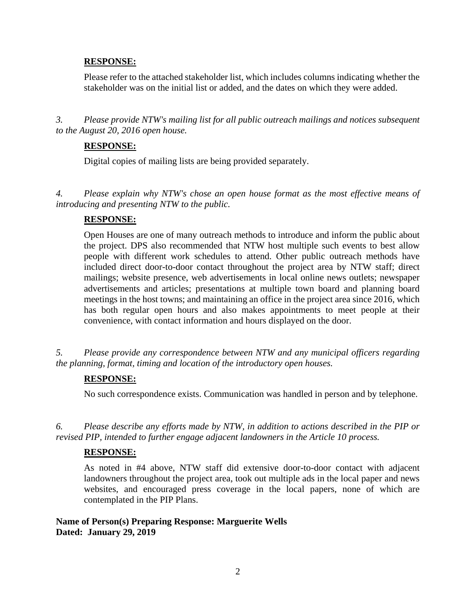# **RESPONSE:**

Please refer to the attached stakeholder list, which includes columns indicating whether the stakeholder was on the initial list or added, and the dates on which they were added.

*3. Please provide NTW's mailing list for all public outreach mailings and notices subsequent to the August 20, 2016 open house.*

# **RESPONSE:**

Digital copies of mailing lists are being provided separately.

*4. Please explain why NTW's chose an open house format as the most effective means of introducing and presenting NTW to the public.* 

# **RESPONSE:**

Open Houses are one of many outreach methods to introduce and inform the public about the project. DPS also recommended that NTW host multiple such events to best allow people with different work schedules to attend. Other public outreach methods have included direct door-to-door contact throughout the project area by NTW staff; direct mailings; website presence, web advertisements in local online news outlets; newspaper advertisements and articles; presentations at multiple town board and planning board meetings in the host towns; and maintaining an office in the project area since 2016, which has both regular open hours and also makes appointments to meet people at their convenience, with contact information and hours displayed on the door.

*5. Please provide any correspondence between NTW and any municipal officers regarding the planning, format, timing and location of the introductory open houses.*

### **RESPONSE:**

No such correspondence exists. Communication was handled in person and by telephone.

*6. Please describe any efforts made by NTW, in addition to actions described in the PIP or revised PIP, intended to further engage adjacent landowners in the Article 10 process.* 

# **RESPONSE:**

As noted in #4 above, NTW staff did extensive door-to-door contact with adjacent landowners throughout the project area, took out multiple ads in the local paper and news websites, and encouraged press coverage in the local papers, none of which are contemplated in the PIP Plans.

**Name of Person(s) Preparing Response: Marguerite Wells Dated: January 29, 2019**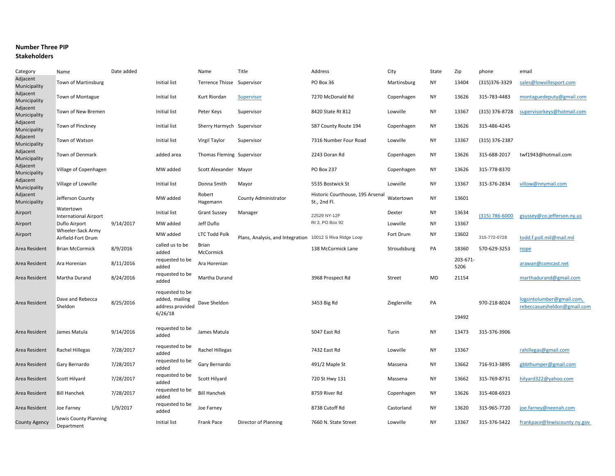#### **Number Three PIP**

#### **Stakeholders**

| Category                 | Name                                      | Date added |                                                                  | Name                       | Title                                                    | Address                                          | City         | State     | Zip              | phone          | email                                                    |
|--------------------------|-------------------------------------------|------------|------------------------------------------------------------------|----------------------------|----------------------------------------------------------|--------------------------------------------------|--------------|-----------|------------------|----------------|----------------------------------------------------------|
| Adjacent<br>Municipality | Town of Martinsburg                       |            | <b>Initial list</b>                                              | Terrence Thisse Supervisor |                                                          | PO Box 36                                        | Martinsburg  | <b>NY</b> | 13404            | (315) 376-3329 | sales@lowvillesport.com                                  |
| Adjacent<br>Municipality | Town of Montague                          |            | Initial list                                                     | Kurt Riordan               | Supervisor                                               | 7270 McDonald Rd                                 | Copenhagen   | <b>NY</b> | 13626            | 315-783-4483   | montaguedeputy@gmail.com                                 |
| Adjacent<br>Municipality | Town of New Bremen                        |            | Initial list                                                     | Peter Keys                 | Supervisor                                               | 8420 State Rt 812                                | Lowville     | <b>NY</b> | 13367            | (315) 376-8728 | supervisorkeys@hotmail.com                               |
| Adjacent<br>Municipality | Town of Pinckney                          |            | Initial list                                                     | Sherry Harmych Supervisor  |                                                          | 587 County Route 194                             | Copenhagen   | <b>NY</b> | 13626            | 315-486-4245   |                                                          |
| Adjacent<br>Municipality | Town of Watson                            |            | Initial list                                                     | Virgil Taylor              | Supervisor                                               | 7316 Number Four Road                            | Lowville     | <b>NY</b> | 13367            | (315) 376-2387 |                                                          |
| Adjacent<br>Municipality | Town of Denmark                           |            | added area                                                       | Thomas Fleming Supervisor  |                                                          | 2243 Doran Rd                                    | Copenhagen   | <b>NY</b> | 13626            | 315-688-2017   | twf1943@hotmail.com                                      |
| Adjacent<br>Municipality | Village of Copenhagen                     |            | MW added                                                         | Scott Alexander Mayor      |                                                          | PO Box 237                                       | Copenhagen   | <b>NY</b> | 13626            | 315-778-8370   |                                                          |
| Adjacent<br>Municipality | Village of Lowville                       |            | Initial list                                                     | Donna Smith                | Mayor                                                    | 5535 Bostwick St                                 | Lowville     | <b>NY</b> | 13367            | 315-376-2834   | villow@nnymail.com                                       |
| Adjacent<br>Municipality | Jefferson County                          |            | MW added                                                         | Robert<br>Hagemann         | County Administrator                                     | Historic Courthouse, 195 Arsenal<br>St., 2nd Fl. | Watertown    | <b>NY</b> | 13601            |                |                                                          |
| Airport                  | Watertown<br><b>International Airport</b> |            | Initial list                                                     | <b>Grant Sussey</b>        | Manager                                                  | 22529 NY-12F                                     | Dexter       | <b>NY</b> | 13634            | (315) 786-6000 | gsussey@co.jefferson.ny.us                               |
| Airport                  | Duflo Airport                             | 9/14/2017  | MW added                                                         | Jeff Duflo                 |                                                          | Rt 3, PO Box 92                                  | Lowville     | <b>NY</b> | 13367            |                |                                                          |
| Airport                  | Wheeler-Sack Army<br>Airfield-Fort Drum   |            | MW added                                                         | <b>LTC Todd Polk</b>       | Plans, Analysis, and Integration 10012 S Riva Ridge Loop |                                                  | Fort Drum    | NY        | 13602            | 315-772-0728   | todd.f.poll.mil@mail.mil                                 |
| Area Resident            | <b>Brian McCormick</b>                    | 8/9/2016   | called us to be<br>added                                         | <b>Brian</b><br>McCormick  |                                                          | 138 McCormick Lane                               | Stroudsburg  | PA        | 18360            | 570-629-3253   | nope                                                     |
| Area Resident            | Ara Horenian                              | 8/11/2016  | requested to be<br>added                                         | Ara Horenian               |                                                          |                                                  |              |           | 203-671-<br>5206 |                | arawan@comcast.net                                       |
| Area Resident            | Martha Durand                             | 8/24/2016  | requested to be<br>added                                         | Martha Durand              |                                                          | 3968 Prospect Rd                                 | Street       | MD        | 21154            |                | marthadurand@gmail.com                                   |
| Area Resident            | Dave and Rebecca<br>Sheldon               | 8/25/2016  | requested to be<br>added, mailing<br>address provided<br>6/26/18 | Dave Sheldon               |                                                          | 3453 Big Rd                                      | Zieglerville | PA        | 19492            | 970-218-8024   | logsintolumber@gmail.com,<br>rebeccasuesheldon@gmail.com |
| Area Resident            | James Matula                              | 9/14/2016  | requested to be<br>added                                         | James Matula               |                                                          | 5047 East Rd                                     | Turin        | <b>NY</b> | 13473            | 315-376-3906   |                                                          |
| Area Resident            | Rachel Hillegas                           | 7/28/2017  | requested to be<br>added                                         | Rachel Hillegas            |                                                          | 7432 East Rd                                     | Lowville     | <b>NY</b> | 13367            |                | rahillegas@gmail.com                                     |
| Area Resident            | Gary Bernardo                             | 7/28/2017  | requested to be<br>added                                         | Gary Bernardo              |                                                          | 491/2 Maple St                                   | Massena      | NY        | 13662            | 716-913-3895   | gbbthumper@gmail.com                                     |
| Area Resident            | <b>Scott Hilyard</b>                      | 7/28/2017  | requested to be<br>added                                         | Scott Hilyard              |                                                          | 720 St Hwy 131                                   | Massena      | <b>NY</b> | 13662            | 315-769-8731   | hilyard322@yahoo.com                                     |
| Area Resident            | <b>Bill Hanchek</b>                       | 7/28/2017  | requested to be<br>added                                         | <b>Bill Hanchek</b>        |                                                          | 8759 River Rd                                    | Copenhagen   | <b>NY</b> | 13626            | 315-408-6923   |                                                          |
| Area Resident            | Joe Farney                                | 1/9/2017   | requested to be<br>added                                         | Joe Farney                 |                                                          | 8738 Cutoff Rd                                   | Castorland   | <b>NY</b> | 13620            | 315-965-7720   | joe.farney@neenah.com                                    |
| <b>County Agency</b>     | Lewis County Planning<br>Department       |            | <b>Initial list</b>                                              | Frank Pace                 | Director of Planning                                     | 7660 N. State Street                             | Lowville     | <b>NY</b> | 13367            | 315-376-5422   | frankpace@lewiscounty.ny.gov                             |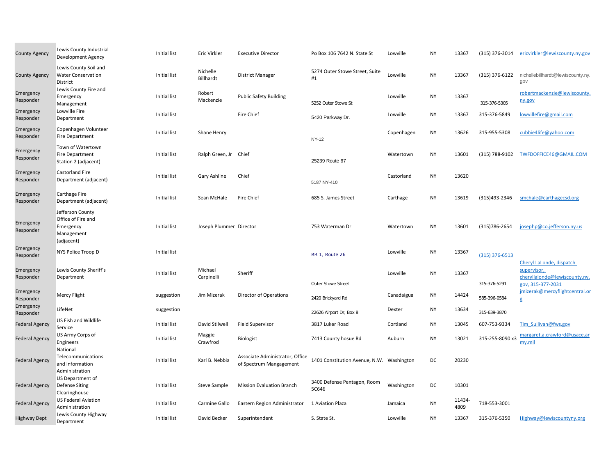| County Agency          | Lewis County Industrial<br><b>Development Agency</b>                            | Initial list        | Eric Virkler            | <b>Executive Director</b>                                  | Po Box 106 7642 N. State St               | Lowville   | <b>NY</b> | 13367          | (315) 376-3014   | ericvirkler@lewiscounty.ny.gov                                    |
|------------------------|---------------------------------------------------------------------------------|---------------------|-------------------------|------------------------------------------------------------|-------------------------------------------|------------|-----------|----------------|------------------|-------------------------------------------------------------------|
| <b>County Agency</b>   | Lewis County Soil and<br><b>Water Conservation</b><br>District                  | Initial list        | Nichelle<br>Billhardt   | <b>District Manager</b>                                    | 5274 Outer Stowe Street, Suite<br>#1      | Lowville   | <b>NY</b> | 13367          | (315) 376-6122   | nichellebillhardt@lewiscounty.ny.<br>gov                          |
| Emergency<br>Responder | Lewis County Fire and<br>Emergency<br>Management                                | Initial list        | Robert<br>Mackenzie     | <b>Public Safety Building</b>                              | 5252 Outer Stowe St                       | Lowville   | NY        | 13367          | 315-376-5305     | robertmackenzie@lewiscounty.<br>ny.gov                            |
| Emergency<br>Responder | Lowville Fire<br>Department                                                     | <b>Initial list</b> |                         | Fire Chief                                                 | 5420 Parkway Dr.                          | Lowville   | <b>NY</b> | 13367          | 315-376-5849     | lowvillefire@gmail.com                                            |
| Emergency<br>Responder | Copenhagen Volunteer<br><b>Fire Department</b>                                  | Initial list        | Shane Henry             |                                                            | <b>NY-12</b>                              | Copenhagen | <b>NY</b> | 13626          | 315-955-5308     | cubbie4life@yahoo.com                                             |
| Emergency<br>Responder | Town of Watertown<br><b>Fire Department</b><br>Station 2 (adjacent)             | Initial list        | Ralph Green, Jr Chief   |                                                            | 25239 Route 67                            | Watertown  | <b>NY</b> | 13601          | (315) 788-9102   | TWFDOFFICE46@GMAIL.COM                                            |
| Emergency<br>Responder | <b>Castorland Fire</b><br>Department (adjacent)                                 | Initial list        | Gary Ashline            | Chief                                                      | 5187 NY-410                               | Castorland | <b>NY</b> | 13620          |                  |                                                                   |
| Emergency<br>Responder | <b>Carthage Fire</b><br>Department (adjacent)                                   | Initial list        | Sean McHale             | Fire Chief                                                 | 685 S. James Street                       | Carthage   | <b>NY</b> | 13619          | (315)493-2346    | smchale@carthagecsd.org                                           |
| Emergency<br>Responder | Jefferson County<br>Office of Fire and<br>Emergency<br>Management<br>(adjacent) | Initial list        | Joseph Plummer Director |                                                            | 753 Waterman Dr                           | Watertown  | <b>NY</b> | 13601          | (315) 786-2654   | josephp@co.jefferson.ny.us                                        |
| Emergency<br>Responder | NYS Police Troop D                                                              | Initial list        |                         |                                                            | RR 1, Route 26                            | Lowville   | <b>NY</b> | 13367          | $(315)$ 376-6513 | Cheryl LaLonde, dispatch                                          |
| Emergency<br>Responder | Lewis County Sheriff's<br>Department                                            | Initial list        | Michael<br>Carpinelli   | Sheriff                                                    | Outer Stowe Street                        | Lowville   | NY        | 13367          | 315-376-5291     | supervisor,<br>cheryllalonde@lewiscounty.ny.<br>gov, 315-377-2031 |
| Emergency<br>Responder | Mercy Flight                                                                    | suggestion          | Jim Mizerak             | <b>Director of Operations</b>                              | 2420 Brickyard Rd                         | Canadaigua | NY        | 14424          | 585-396-0584     | jmizerak@mercyflightcentral.or<br>g                               |
| Emergency<br>Responder | LifeNet                                                                         | suggestion          |                         |                                                            | 22626 Airport Dr, Box 8                   | Dexter     | NY        | 13634          | 315-639-3870     |                                                                   |
| <b>Federal Agency</b>  | US Fish and Wildlife<br>Service                                                 | <b>Initial list</b> | David Stilwell          | <b>Field Supervisor</b>                                    | 3817 Luker Road                           | Cortland   | <b>NY</b> | 13045          | 607-753-9334     | Tim Sullivan@fws.gov                                              |
| <b>Federal Agency</b>  | US Army Corps of<br>Engineers<br>National                                       | <b>Initial list</b> | Maggie<br>Crawfrod      | Biologist                                                  | 7413 County hosue Rd                      | Auburn     | NY        | 13021          | 315-255-8090 x3  | margaret.a.crawford@usace.ar<br>my.mil                            |
| <b>Federal Agency</b>  | Telecommunications<br>and Information<br>Administration                         | Initial list        | Karl B. Nebbia          | Associate Administrator, Office<br>of Spectrum Mangagement | 1401 Constitution Avenue, N.W. Washington |            | DC        | 20230          |                  |                                                                   |
| <b>Federal Agency</b>  | US Department of<br>Defense Siting<br>Clearinghouse                             | Initial list        | <b>Steve Sample</b>     | <b>Mission Evaluation Branch</b>                           | 3400 Defense Pentagon, Room<br>5C646      | Washington | DC        | 10301          |                  |                                                                   |
| <b>Federal Agency</b>  | <b>US Federal Aviation</b><br>Administration                                    | Initial list        | Carmine Gallo           | Eastern Region Administrator                               | 1 Aviation Plaza                          | Jamaica    | NY        | 11434-<br>4809 | 718-553-3001     |                                                                   |
| <b>Highway Dept</b>    | Lewis County Highway<br>Department                                              | Initial list        | David Becker            | Superintendent                                             | S. State St.                              | Lowville   | NY        | 13367          | 315-376-5350     | Highway@lewiscountyny.org                                         |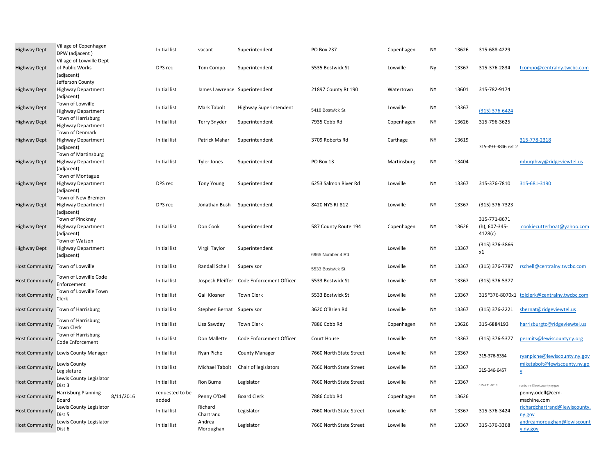| <b>Highway Dept</b>             | Village of Copenhagen<br>DPW (adjacent)                            | <b>Initial list</b>      | vacant                        | Superintendent                            | <b>PO Box 237</b>       | Copenhagen  | <b>NY</b> | 13626 | 315-688-4229                             |                                                          |
|---------------------------------|--------------------------------------------------------------------|--------------------------|-------------------------------|-------------------------------------------|-------------------------|-------------|-----------|-------|------------------------------------------|----------------------------------------------------------|
| <b>Highway Dept</b>             | Village of Lowville Dept<br>of Public Works<br>(adjacent)          | DPS rec                  | Tom Compo                     | Superintendent                            | 5535 Bostwick St        | Lowville    | Ny        | 13367 | 315-376-2834                             | tcompo@centralny.twcbc.com                               |
| <b>Highway Dept</b>             | Jefferson County<br><b>Highway Department</b><br>(adjacent)        | Initial list             | James Lawrence Superintendent |                                           | 21897 County Rt 190     | Watertown   | <b>NY</b> | 13601 | 315-782-9174                             |                                                          |
| <b>Highway Dept</b>             | Town of Lowville<br><b>Highway Department</b>                      | <b>Initial list</b>      | Mark Tabolt                   | Highway Superintendent                    | 5418 Bostwick St        | Lowville    | <b>NY</b> | 13367 | (315) 376-6424                           |                                                          |
| <b>Highway Dept</b>             | Town of Harrisburg<br><b>Highway Department</b><br>Town of Denmark | Initial list             | <b>Terry Snyder</b>           | Superintendent                            | 7935 Cobb Rd            | Copenhagen  | <b>NY</b> | 13626 | 315-796-3625                             |                                                          |
| <b>Highway Dept</b>             | <b>Highway Department</b><br>(adjacent)                            | <b>Initial list</b>      | Patrick Mahar                 | Superintendent                            | 3709 Roberts Rd         | Carthage    | <b>NY</b> | 13619 | 315-493-3846 ext 2                       | 315-778-2318                                             |
| <b>Highway Dept</b>             | Town of Martinsburg<br><b>Highway Department</b><br>(adjacent)     | <b>Initial list</b>      | <b>Tyler Jones</b>            | Superintendent                            | PO Box 13               | Martinsburg | <b>NY</b> | 13404 |                                          | mburghwy@ridgeviewtel.us                                 |
| <b>Highway Dept</b>             | Town of Montague<br><b>Highway Department</b><br>(adjacent)        | DPS rec                  | <b>Tony Young</b>             | Superintendent                            | 6253 Salmon River Rd    | Lowville    | <b>NY</b> | 13367 | 315-376-7810                             | 315-681-3190                                             |
| <b>Highway Dept</b>             | Town of New Bremen<br><b>Highway Department</b><br>(adjacent)      | DPS rec                  | Jonathan Bush                 | Superintendent                            | 8420 NYS Rt 812         | Lowville    | <b>NY</b> | 13367 | $(315)$ 376-7323                         |                                                          |
| <b>Highway Dept</b>             | Town of Pinckney<br><b>Highway Department</b><br>(adjacent)        | <b>Initial list</b>      | Don Cook                      | Superintendent                            | 587 County Route 194    | Copenhagen  | <b>NY</b> | 13626 | 315-771-8671<br>(h), 607-345-<br>4128(c) | cookiecutterboat@yahoo.com                               |
| <b>Highway Dept</b>             | Town of Watson<br><b>Highway Department</b><br>(adjacent)          | <b>Initial list</b>      | <b>Virgil Taylor</b>          | Superintendent                            | 6965 Number 4 Rd        | Lowville    | <b>NY</b> | 13367 | (315) 376-3866<br>x1                     |                                                          |
| Host Community Town of Lowville |                                                                    | <b>Initial list</b>      | Randall Schell                | Supervisor                                | 5533 Bostwick St        | Lowville    | <b>NY</b> | 13367 | (315) 376-7787                           | rschell@centralny.twcbc.com                              |
| <b>Host Community</b>           | Town of Lowville Code<br>Enforcement                               | <b>Initial list</b>      |                               | Jospesh Pfeiffer Code Enforcement Officer | 5533 Bostwick St        | Lowville    | <b>NY</b> | 13367 | (315) 376-5377                           |                                                          |
| <b>Host Community</b>           | Town of Lowville Town<br>Clerk                                     | <b>Initial list</b>      | Gail Klosner                  | Town Clerk                                | 5533 Bostwick St        | Lowville    | <b>NY</b> | 13367 |                                          | 315*376-8070x1_tolclerk@centralny.twcbc.com              |
|                                 | Host Community Town of Harrisburg                                  | Initial list             | Stephen Bernat Supervisor     |                                           | 3620 O'Brien Rd         | Lowville    | <b>NY</b> | 13367 | (315) 376-2221                           | sbernat@ridgeviewtel.us                                  |
| <b>Host Community</b>           | Town of Harrisburg<br><b>Town Clerk</b>                            | Initial list             | Lisa Sawdey                   | <b>Town Clerk</b>                         | 7886 Cobb Rd            | Copenhagen  | <b>NY</b> | 13626 | 315-6884193                              | harrisburgtc@ridgeviewtel.us                             |
| <b>Host Community</b>           | Town of Harrisburg<br>Code Enforcement                             | <b>Initial list</b>      | Don Mallette                  | Code Enforcement Officer                  | Court House             | Lowville    | <b>NY</b> | 13367 | (315) 376-5377                           | permits@lewiscountyny.org                                |
|                                 | Host Community Lewis County Manager                                | <b>Initial list</b>      | Ryan Piche                    | <b>County Manager</b>                     | 7660 North State Street | Lowville    | <b>NY</b> | 13367 | 315-376-5354                             | ryanpiche@lewiscounty.ny.gov                             |
| <b>Host Community</b>           | Lewis County<br>Legislature                                        | Initial list             | Michael Tabolt                | Chair of legislators                      | 7660 North State Street | Lowville    | <b>NY</b> | 13367 | 315-346-6457                             | miketabolt@lewiscounty.ny.go<br>$\underline{\mathsf{v}}$ |
| <b>Host Community</b>           | Lewis County Legislator<br>Dist <sub>3</sub>                       | <b>Initial list</b>      | Ron Burns                     | Legislator                                | 7660 North State Street | Lowville    | <b>NY</b> | 13367 | 315-771-1019                             | ronburns@lewiscounty.ny.gov                              |
| <b>Host Community</b>           | Harrisburg Planning<br>8/11/2016<br>Board                          | requested to be<br>added | Penny O'Dell                  | <b>Board Clerk</b>                        | 7886 Cobb Rd            | Copenhagen  | <b>NY</b> | 13626 |                                          | penny.odell@cem-<br>machine.com                          |
| <b>Host Community</b>           | Lewis County Legislator<br>Dist 5                                  | <b>Initial list</b>      | Richard<br>Chartrand          | Legislator                                | 7660 North State Street | Lowville    | <b>NY</b> | 13367 | 315-376-3424                             | richardchartrand@lewiscounty.<br>ny.gov                  |
| <b>Host Community</b>           | Lewis County Legislator<br>Dist 6                                  | <b>Initial list</b>      | Andrea<br>Moroughan           | Legislator                                | 7660 North State Street | Lowville    | <b>NY</b> | 13367 | 315-376-3368                             | andreamoroughan@lewiscount<br>y.ny.gov                   |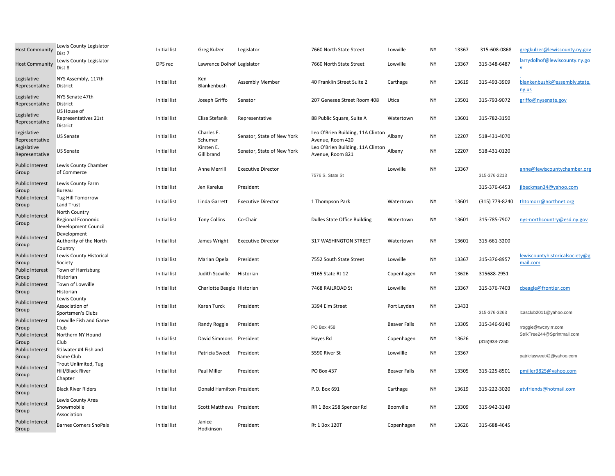| <b>Host Community</b>           | Lewis County Legislator<br>Dist 7                         | <b>Initial list</b> | Greg Kulzer                | Legislator                 | 7660 North State Street                               | Lowville            | <b>NY</b> | 13367 | 315-608-0868   | gregkulzer@lewiscounty.ny.gov              |
|---------------------------------|-----------------------------------------------------------|---------------------|----------------------------|----------------------------|-------------------------------------------------------|---------------------|-----------|-------|----------------|--------------------------------------------|
| <b>Host Community</b>           | Lewis County Legislator<br>Dist 8                         | DPS rec             | Lawrence Dolhof Legislator |                            | 7660 North State Street                               | Lowville            | <b>NY</b> | 13367 | 315-348-6487   | larrydolhof@lewiscounty.ny.go<br>V         |
| Legislative<br>Representative   | NYS Assembly, 117th<br>District                           | Initial list        | Ken<br>Blankenbush         | <b>Assembly Member</b>     | 40 Franklin Street Suite 2                            | Carthage            | NY        | 13619 | 315-493-3909   | blankenbushk@assembly.state.<br>ny.us      |
| Legislative<br>Representative   | NYS Senate 47th<br>District                               | Initial list        | Joseph Griffo              | Senator                    | 207 Genesee Street Room 408                           | Utica               | <b>NY</b> | 13501 | 315-793-9072   | griffo@nysenate.gov                        |
| Legislative<br>Representative   | US House of<br>Representatives 21st<br>District           | Initial list        | Elise Stefanik             | Representative             | 88 Public Square, Suite A                             | Watertown           | <b>NY</b> | 13601 | 315-782-3150   |                                            |
| Legislative<br>Representative   | US Senate                                                 | Initial list        | Charles E.<br>Schumer      | Senator, State of New York | Leo O'Brien Building, 11A Clinton<br>Avenue, Room 420 | Albany              | <b>NY</b> | 12207 | 518-431-4070   |                                            |
| Legislative<br>Representative   | US Senate                                                 | Initial list        | Kirsten E.<br>Gillibrand   | Senator, State of New York | Leo O'Brien Building, 11A Clinton<br>Avenue, Room 821 | Albany              | <b>NY</b> | 12207 | 518-431-0120   |                                            |
| <b>Public Interest</b><br>Group | Lewis County Chamber<br>of Commerce                       | Initial list        | <b>Anne Merrill</b>        | <b>Executive Director</b>  | 7576 S. State St                                      | Lowville            | <b>NY</b> | 13367 | 315-376-2213   | anne@lewiscountychamber.org                |
| <b>Public Interest</b><br>Group | Lewis County Farm<br><b>Bureau</b>                        | Initial list        | Jen Karelus                | President                  |                                                       |                     |           |       | 315-376-6453   | jlbeckman34@yahoo.com                      |
| <b>Public Interest</b><br>Group | Tug Hill Tomorrow<br>Land Trust                           | <b>Initial list</b> | Linda Garrett              | <b>Executive Director</b>  | 1 Thompson Park                                       | Watertown           | <b>NY</b> | 13601 | (315) 779-8240 | thtomorr@northnet.org                      |
| <b>Public Interest</b><br>Group | North Country<br>Regional Economic<br>Development Council | Initial list        | <b>Tony Collins</b>        | Co-Chair                   | <b>Dulles State Office Building</b>                   | Watertown           | <b>NY</b> | 13601 | 315-785-7907   | nys-northcountry@esd.ny.gov                |
| <b>Public Interest</b><br>Group | Development<br>Authority of the North<br>Country          | <b>Initial list</b> | James Wright               | <b>Executive Director</b>  | 317 WASHINGTON STREET                                 | Watertown           | <b>NY</b> | 13601 | 315-661-3200   |                                            |
| <b>Public Interest</b><br>Group | Lewis County Historical<br>Society                        | Initial list        | Marian Opela               | President                  | 7552 South State Street                               | Lowville            | <b>NY</b> | 13367 | 315-376-8957   | lewiscountyhistoricalsociety@g<br>mail.com |
| <b>Public Interest</b><br>Group | Town of Harrisburg<br>Historian                           | Initial list        | Judith Scoville            | Historian                  | 9165 State Rt 12                                      | Copenhagen          | NY        | 13626 | 315688-2951    |                                            |
| <b>Public Interest</b><br>Group | Town of Lowville<br>Historian                             | Initial list        | Charlotte Beagle Historian |                            | 7468 RAILROAD St                                      | Lowville            | <b>NY</b> | 13367 | 315-376-7403   | cbeagle@frontier.com                       |
| <b>Public Interest</b><br>Group | Lewis County<br>Association of<br>Sportsmen's Clubs       | Initial list        | Karen Turck                | President                  | 3394 Elm Street                                       | Port Leyden         | <b>NY</b> | 13433 | 315-376-3263   | lcasclub2011@yahoo.com                     |
| <b>Public Interest</b><br>Group | Lowville Fish and Game<br>Club                            | <b>Initial list</b> | Randy Roggie               | President                  | PO Box 458                                            | <b>Beaver Falls</b> | <b>NY</b> | 13305 | 315-346-9140   | rroggie@twcny.rr.com                       |
| <b>Public Interest</b><br>Group | Northern NY Hound<br>Club                                 | Initial list        | David Simmons              | President                  | Hayes Rd                                              | Copenhagen          | <b>NY</b> | 13626 | (315)938-7250  | StrikTree244@Sprintmail.com                |
| <b>Public Interest</b><br>Group | Stilwater #4 Fish and<br>Game Club                        | Initial list        | Patricia Sweet             | President                  | 5590 River St                                         | Lowvillle           | <b>NY</b> | 13367 |                | patriciasweet42@yahoo.com                  |
| <b>Public Interest</b><br>Group | Trout Unlimited, Tug<br>Hill/Black River<br>Chapter       | Initial list        | Paul Miller                | President                  | PO Box 437                                            | <b>Beaver Falls</b> | <b>NY</b> | 13305 | 315-225-8501   | pmiller3825@yahoo.com                      |
| <b>Public Interest</b><br>Group | <b>Black River Riders</b>                                 | Initial list        | Donald Hamilton President  |                            | P.O. Box 691                                          | Carthage            | <b>NY</b> | 13619 | 315-222-3020   | atvfriends@hotmail.com                     |
| <b>Public Interest</b><br>Group | Lewis County Area<br>Snowmobile<br>Association            | Initial list        | Scott Matthews President   |                            | RR 1 Box 258 Spencer Rd                               | Boonville           | ΝY        | 13309 | 315-942-3149   |                                            |
| <b>Public Interest</b><br>Group | <b>Barnes Corners SnoPals</b>                             | Initial list        | Janice<br>Hodkinson        | President                  | Rt 1 Box 120T                                         | Copenhagen          | <b>NY</b> | 13626 | 315-688-4645   |                                            |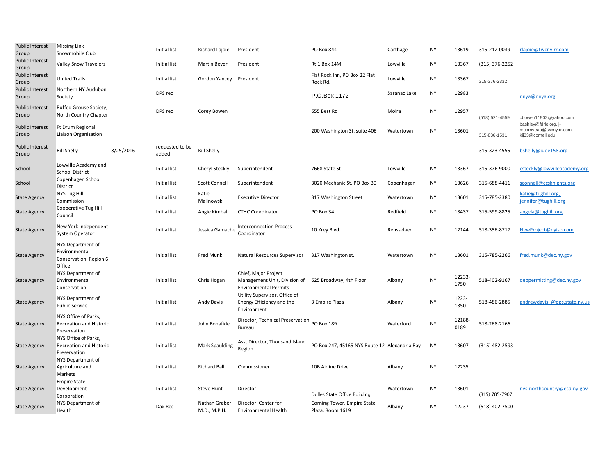| Public Interest<br>Group        | <b>Missing Link</b><br>Snowmobile Club                                 |           | Initial list             | Richard Lajoie                 | President                                                                            | PO Box 844                                      | Carthage     | <b>NY</b> | 13619          | 315-212-0039     | rlajoie@twcny.rr.com                                                   |
|---------------------------------|------------------------------------------------------------------------|-----------|--------------------------|--------------------------------|--------------------------------------------------------------------------------------|-------------------------------------------------|--------------|-----------|----------------|------------------|------------------------------------------------------------------------|
| <b>Public Interest</b><br>Group | <b>Valley Snow Travelers</b>                                           |           | Initial list             | Martin Beyer                   | President                                                                            | Rt.1 Box 14M                                    | Lowville     | NY        | 13367          | $(315)$ 376-2252 |                                                                        |
| <b>Public Interest</b><br>Group | <b>United Trails</b>                                                   |           | Initial list             | Gordon Yancey                  | President                                                                            | Flat Rock Inn, PO Box 22 Flat<br>Rock Rd.       | Lowville     | NY        | 13367          | 315-376-2332     |                                                                        |
| <b>Public Interest</b><br>Group | Northern NY Audubon<br>Society                                         |           | DPS rec                  |                                |                                                                                      | P.O.Box 1172                                    | Saranac Lake | <b>NY</b> | 12983          |                  | nnya@nnya.org                                                          |
| <b>Public Interest</b><br>Group | Ruffed Grouse Society,<br>North Country Chapter                        |           | DPS rec                  | Corey Bowen                    |                                                                                      | 655 Best Rd                                     | Moira        | <b>NY</b> | 12957          | (518) 521-4559   | cbowen11902@yahoo.com                                                  |
| <b>Public Interest</b><br>Group | Ft Drum Regional<br>Liaison Organization                               |           |                          |                                |                                                                                      | 200 Washington St, suite 406                    | Watertown    | <b>NY</b> | 13601          | 315-836-1531     | bashley@fdrlo.org, j-<br>mcorriveau@twcny.rr.com,<br>kij33@cornell.edu |
| <b>Public Interest</b><br>Group | <b>Bill Shelly</b>                                                     | 8/25/2016 | requested to be<br>added | <b>Bill Shelly</b>             |                                                                                      |                                                 |              |           |                | 315-323-4555     | bshelly@iuoe158.org                                                    |
| School                          | Lowville Academy and<br><b>School District</b>                         |           | Initial list             | Cheryl Steckly                 | Superintendent                                                                       | 7668 State St                                   | Lowville     | NY        | 13367          | 315-376-9000     | csteckly@lowvilleacademy.org                                           |
| School                          | Copenhagen School<br>District                                          |           | <b>Initial list</b>      | <b>Scott Connell</b>           | Superintendent                                                                       | 3020 Mechanic St, PO Box 30                     | Copenhagen   | <b>NY</b> | 13626          | 315-688-4411     | sconnell@ccsknights.org                                                |
| <b>State Agency</b>             | NYS Tug Hill<br>Commission                                             |           | Initial list             | Katie<br>Malinowski            | <b>Executive Director</b>                                                            | 317 Washington Street                           | Watertown    | <b>NY</b> | 13601          | 315-785-2380     | katie@tughill.org,<br>jennifer@tughill.org                             |
| <b>State Agency</b>             | Cooperative Tug Hill<br>Council                                        |           | Initial list             | Angie Kimball                  | <b>CTHC Coordinator</b>                                                              | PO Box 34                                       | Redfield     | <b>NY</b> | 13437          | 315-599-8825     | angela@tughill.org                                                     |
| <b>State Agency</b>             | New York Independent<br>System Operator                                |           | Initial list             | Jessica Gamache                | <b>Interconnection Process</b><br>Coordinator                                        | 10 Krey Blvd.                                   | Rensselaer   | <b>NY</b> | 12144          | 518-356-8717     | NewProject@nyiso.com                                                   |
| <b>State Agency</b>             | NYS Department of<br>Environmental<br>Conservation, Region 6<br>Office |           | Initial list             | <b>Fred Munk</b>               | Natural Resources Supervisor                                                         | 317 Washington st.                              | Watertown    | <b>NY</b> | 13601          | 315-785-2266     | fred.munk@dec.ny.gov                                                   |
| <b>State Agency</b>             | NYS Department of<br>Environmental<br>Conservation                     |           | Initial list             | Chris Hogan                    | Chief, Major Project<br>Management Unit, Division of<br><b>Environmental Permits</b> | 625 Broadway, 4th Floor                         | Albany       | <b>NY</b> | 12233-<br>1750 | 518-402-9167     | deppermitting@dec.ny.gov                                               |
| <b>State Agency</b>             | NYS Department of<br><b>Public Service</b>                             |           | Initial list             | <b>Andy Davis</b>              | Utility Supervisor, Office of<br>Energy Efficiency and the<br>Environment            | 3 Empire Plaza                                  | Albany       | <b>NY</b> | 1223-<br>1350  | 518-486-2885     | andrewdavis @dps.state.ny.us                                           |
| <b>State Agency</b>             | NYS Office of Parks.<br><b>Recreation and Historic</b><br>Preservation |           | Initial list             | John Bonafide                  | Director, Technical Preservation PO Box 189<br>Bureau                                |                                                 | Waterford    | <b>NY</b> | 12188-<br>0189 | 518-268-2166     |                                                                        |
| <b>State Agency</b>             | NYS Office of Parks,<br>Recreation and Historic<br>Preservation        |           | Initial list             | <b>Mark Spaulding</b>          | Asst Director, Thousand Island<br>Region                                             | PO Box 247, 45165 NYS Route 12 Alexandria Bay   |              | <b>NY</b> | 13607          | $(315)$ 482-2593 |                                                                        |
| <b>State Agency</b>             | NYS Department of<br>Agriculture and<br>Markets                        |           | Initial list             | <b>Richard Ball</b>            | Commissioner                                                                         | 10B Airline Drive                               | Albany       | <b>NY</b> | 12235          |                  |                                                                        |
| <b>State Agency</b>             | <b>Empire State</b><br>Development<br>Corporation                      |           | Initial list             | <b>Steve Hunt</b>              | Director                                                                             | Dulles State Office Building                    | Watertown    | <b>NY</b> | 13601          | (315) 785-7907   | nys-northcountry@esd.ny.gov                                            |
| <b>State Agency</b>             | NYS Department of<br>Health                                            |           | Dax Rec                  | Nathan Graber,<br>M.D., M.P.H. | Director, Center for<br>Environmental Health                                         | Corning Tower, Empire State<br>Plaza, Room 1619 | Albany       | <b>NY</b> | 12237          | (518) 402-7500   |                                                                        |